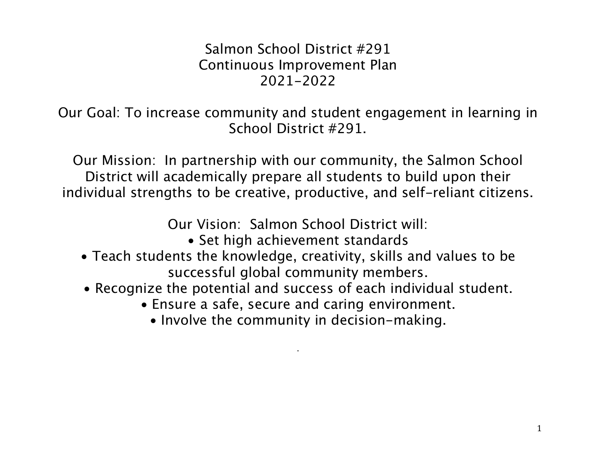# Salmon School District #291 Continuous Improvement Plan 2021-2022

Our Goal: To increase community and student engagement in learning in School District #291.

Our Mission: In partnership with our community, the Salmon School District will academically prepare all students to build upon their individual strengths to be creative, productive, and self-reliant citizens.

Our Vision: Salmon School District will:

- Set high achievement standards
- Teach students the knowledge, creativity, skills and values to be successful global community members.
- Recognize the potential and success of each individual student.
	- Ensure a safe, secure and caring environment.
		- Involve the community in decision-making.

.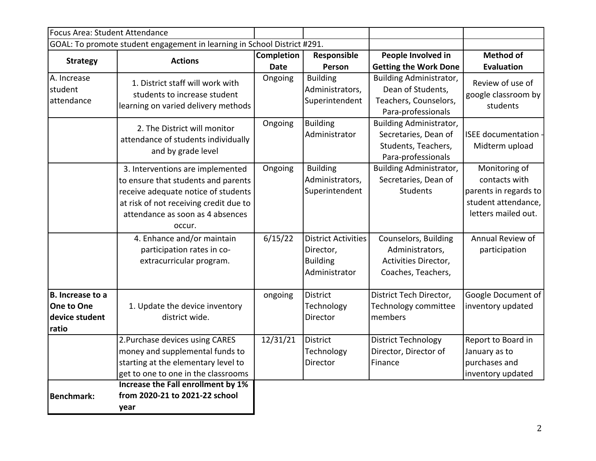| Focus Area: Student Attendance                                   |                                                                                                                                                                                                        |             |                                                                             |                                                                                              |                                                                                                       |
|------------------------------------------------------------------|--------------------------------------------------------------------------------------------------------------------------------------------------------------------------------------------------------|-------------|-----------------------------------------------------------------------------|----------------------------------------------------------------------------------------------|-------------------------------------------------------------------------------------------------------|
|                                                                  | GOAL: To promote student engagement in learning in School District #291.                                                                                                                               |             |                                                                             |                                                                                              |                                                                                                       |
| <b>Strategy</b>                                                  | <b>Actions</b>                                                                                                                                                                                         | Completion  | Responsible                                                                 | People Involved in                                                                           | <b>Method of</b>                                                                                      |
|                                                                  |                                                                                                                                                                                                        | <b>Date</b> | Person                                                                      | <b>Getting the Work Done</b>                                                                 | <b>Evaluation</b>                                                                                     |
| A. Increase<br>student<br>attendance                             | 1. District staff will work with<br>students to increase student<br>learning on varied delivery methods                                                                                                | Ongoing     | <b>Building</b><br>Administrators,<br>Superintendent                        | Building Administrator,<br>Dean of Students,<br>Teachers, Counselors,<br>Para-professionals  | Review of use of<br>google classroom by<br>students                                                   |
|                                                                  | 2. The District will monitor<br>attendance of students individually<br>and by grade level                                                                                                              | Ongoing     | <b>Building</b><br>Administrator                                            | Building Administrator,<br>Secretaries, Dean of<br>Students, Teachers,<br>Para-professionals | <b>ISEE</b> documentation<br>Midterm upload                                                           |
|                                                                  | 3. Interventions are implemented<br>to ensure that students and parents<br>receive adequate notice of students<br>at risk of not receiving credit due to<br>attendance as soon as 4 absences<br>occur. | Ongoing     | <b>Building</b><br>Administrators,<br>Superintendent                        | Building Administrator,<br>Secretaries, Dean of<br>Students                                  | Monitoring of<br>contacts with<br>parents in regards to<br>student attendance,<br>letters mailed out. |
|                                                                  | 4. Enhance and/or maintain<br>participation rates in co-<br>extracurricular program.                                                                                                                   | 6/15/22     | <b>District Activities</b><br>Director,<br><b>Building</b><br>Administrator | Counselors, Building<br>Administrators,<br>Activities Director,<br>Coaches, Teachers,        | Annual Review of<br>participation                                                                     |
| <b>B.</b> Increase to a<br>One to One<br>device student<br>ratio | 1. Update the device inventory<br>district wide.                                                                                                                                                       | ongoing     | <b>District</b><br>Technology<br>Director                                   | District Tech Director,<br>Technology committee<br>members                                   | Google Document of<br>inventory updated                                                               |
|                                                                  | 2. Purchase devices using CARES<br>money and supplemental funds to<br>starting at the elementary level to<br>get to one to one in the classrooms                                                       | 12/31/21    | District<br>Technology<br>Director                                          | <b>District Technology</b><br>Director, Director of<br>Finance                               | Report to Board in<br>January as to<br>purchases and<br>inventory updated                             |
| <b>Benchmark:</b>                                                | Increase the Fall enrollment by 1%<br>from 2020-21 to 2021-22 school<br>year                                                                                                                           |             |                                                                             |                                                                                              |                                                                                                       |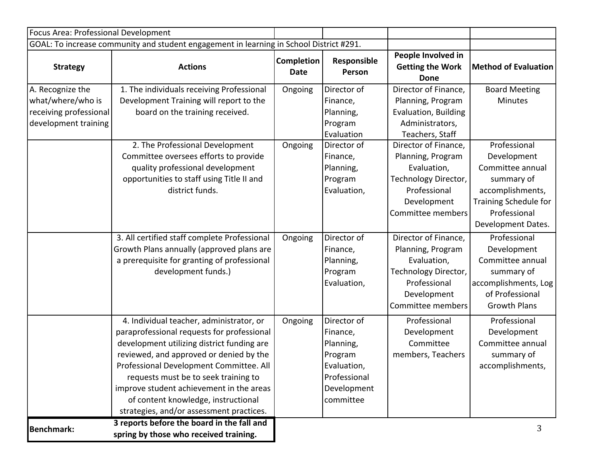| Focus Area: Professional Development                                                    |                                                                                                                                                                                                                                                                                                                                                                                                   |                                  |                                                                                                                                 |                                                                                                                                                                                                                                                 |                                                                                                                                                                                                   |
|-----------------------------------------------------------------------------------------|---------------------------------------------------------------------------------------------------------------------------------------------------------------------------------------------------------------------------------------------------------------------------------------------------------------------------------------------------------------------------------------------------|----------------------------------|---------------------------------------------------------------------------------------------------------------------------------|-------------------------------------------------------------------------------------------------------------------------------------------------------------------------------------------------------------------------------------------------|---------------------------------------------------------------------------------------------------------------------------------------------------------------------------------------------------|
|                                                                                         | GOAL: To increase community and student engagement in learning in School District #291.                                                                                                                                                                                                                                                                                                           |                                  |                                                                                                                                 |                                                                                                                                                                                                                                                 |                                                                                                                                                                                                   |
| <b>Strategy</b>                                                                         | <b>Actions</b>                                                                                                                                                                                                                                                                                                                                                                                    | <b>Completion</b><br><b>Date</b> | Responsible<br>Person                                                                                                           | People Involved in<br><b>Getting the Work</b><br>Done                                                                                                                                                                                           | <b>Method of Evaluation</b>                                                                                                                                                                       |
| A. Recognize the<br>what/where/who is<br>receiving professional<br>development training | 1. The individuals receiving Professional<br>Development Training will report to the<br>board on the training received.<br>2. The Professional Development<br>Committee oversees efforts to provide<br>quality professional development<br>opportunities to staff using Title II and<br>district funds.                                                                                           | Ongoing<br>Ongoing               | Director of<br>Finance,<br>Planning,<br>Program<br>Evaluation<br>Director of<br>Finance,<br>Planning,<br>Program<br>Evaluation, | Director of Finance,<br>Planning, Program<br>Evaluation, Building<br>Administrators,<br>Teachers, Staff<br>Director of Finance,<br>Planning, Program<br>Evaluation,<br>Technology Director,<br>Professional<br>Development<br>Committee members | <b>Board Meeting</b><br><b>Minutes</b><br>Professional<br>Development<br>Committee annual<br>summary of<br>accomplishments,<br><b>Training Schedule for</b><br>Professional<br>Development Dates. |
|                                                                                         | 3. All certified staff complete Professional<br>Growth Plans annually (approved plans are<br>a prerequisite for granting of professional<br>development funds.)                                                                                                                                                                                                                                   | Ongoing                          | Director of<br>Finance,<br>Planning,<br>Program<br>Evaluation,                                                                  | Director of Finance,<br>Planning, Program<br>Evaluation,<br>Technology Director,<br>Professional<br>Development<br>Committee members                                                                                                            | Professional<br>Development<br>Committee annual<br>summary of<br>accomplishments, Log<br>of Professional<br><b>Growth Plans</b>                                                                   |
|                                                                                         | 4. Individual teacher, administrator, or<br>paraprofessional requests for professional<br>development utilizing district funding are<br>reviewed, and approved or denied by the<br>Professional Development Committee. All<br>requests must be to seek training to<br>improve student achievement in the areas<br>of content knowledge, instructional<br>strategies, and/or assessment practices. | Ongoing                          | Director of<br>Finance,<br>Planning,<br>Program<br>Evaluation,<br>Professional<br>Development<br>committee                      | Professional<br>Development<br>Committee<br>members, Teachers                                                                                                                                                                                   | Professional<br>Development<br>Committee annual<br>summary of<br>accomplishments,                                                                                                                 |
| <b>Benchmark:</b>                                                                       | 3 reports before the board in the fall and<br>spring by those who received training.                                                                                                                                                                                                                                                                                                              |                                  |                                                                                                                                 |                                                                                                                                                                                                                                                 | 3                                                                                                                                                                                                 |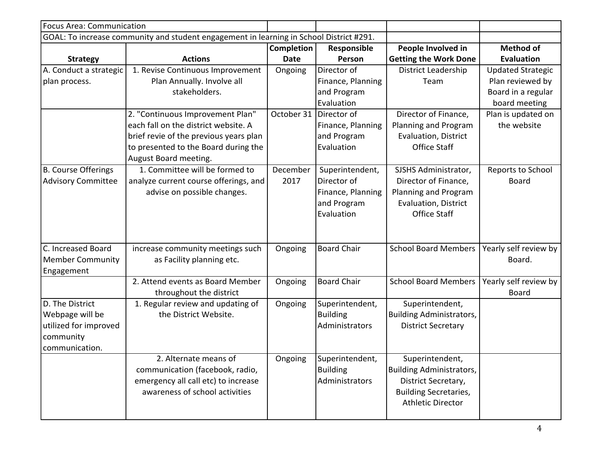| <b>Focus Area: Communication</b> |                                                                                         |                   |                    |                                 |                          |
|----------------------------------|-----------------------------------------------------------------------------------------|-------------------|--------------------|---------------------------------|--------------------------|
|                                  | GOAL: To increase community and student engagement in learning in School District #291. |                   |                    |                                 |                          |
|                                  |                                                                                         | <b>Completion</b> | Responsible        | People Involved in              | <b>Method of</b>         |
| <b>Strategy</b>                  | <b>Actions</b>                                                                          | <b>Date</b>       | Person             | <b>Getting the Work Done</b>    | <b>Evaluation</b>        |
| A. Conduct a strategic           | 1. Revise Continuous Improvement                                                        | Ongoing           | Director of        | District Leadership             | <b>Updated Strategic</b> |
| plan process.                    | Plan Annually. Involve all                                                              |                   | Finance, Planning  | Team                            | Plan reviewed by         |
|                                  | stakeholders.                                                                           |                   | and Program        |                                 | Board in a regular       |
|                                  |                                                                                         |                   | Evaluation         |                                 | board meeting            |
|                                  | 2. "Continuous Improvement Plan"                                                        | October 31        | Director of        | Director of Finance,            | Plan is updated on       |
|                                  | each fall on the district website. A                                                    |                   | Finance, Planning  | Planning and Program            | the website              |
|                                  | brief revie of the previous years plan                                                  |                   | and Program        | Evaluation, District            |                          |
|                                  | to presented to the Board during the                                                    |                   | Evaluation         | <b>Office Staff</b>             |                          |
|                                  | August Board meeting.                                                                   |                   |                    |                                 |                          |
| B. Course Offerings              | 1. Committee will be formed to                                                          | December          | Superintendent,    | SJSHS Administrator,            | Reports to School        |
| <b>Advisory Committee</b>        | analyze current course offerings, and                                                   | 2017              | Director of        | Director of Finance,            | <b>Board</b>             |
|                                  | advise on possible changes.                                                             |                   | Finance, Planning  | Planning and Program            |                          |
|                                  |                                                                                         |                   | and Program        | <b>Evaluation, District</b>     |                          |
|                                  |                                                                                         |                   | Evaluation         | Office Staff                    |                          |
|                                  |                                                                                         |                   |                    |                                 |                          |
|                                  |                                                                                         |                   |                    |                                 |                          |
| C. Increased Board               | increase community meetings such                                                        | Ongoing           | <b>Board Chair</b> | <b>School Board Members</b>     | Yearly self review by    |
| <b>Member Community</b>          | as Facility planning etc.                                                               |                   |                    |                                 | Board.                   |
| Engagement                       |                                                                                         |                   |                    |                                 |                          |
|                                  | 2. Attend events as Board Member                                                        | Ongoing           | <b>Board Chair</b> | <b>School Board Members</b>     | Yearly self review by    |
|                                  | throughout the district                                                                 |                   |                    |                                 | <b>Board</b>             |
| D. The District                  | 1. Regular review and updating of                                                       | Ongoing           | Superintendent,    | Superintendent,                 |                          |
| Webpage will be                  | the District Website.                                                                   |                   | <b>Building</b>    | <b>Building Administrators,</b> |                          |
| utilized for improved            |                                                                                         |                   | Administrators     | <b>District Secretary</b>       |                          |
| community                        |                                                                                         |                   |                    |                                 |                          |
| communication.                   |                                                                                         |                   |                    |                                 |                          |
|                                  | 2. Alternate means of                                                                   | Ongoing           | Superintendent,    | Superintendent,                 |                          |
|                                  | communication (facebook, radio,                                                         |                   | <b>Building</b>    | <b>Building Administrators,</b> |                          |
|                                  | emergency all call etc) to increase                                                     |                   | Administrators     | District Secretary,             |                          |
|                                  | awareness of school activities                                                          |                   |                    | <b>Building Secretaries,</b>    |                          |
|                                  |                                                                                         |                   |                    | <b>Athletic Director</b>        |                          |
|                                  |                                                                                         |                   |                    |                                 |                          |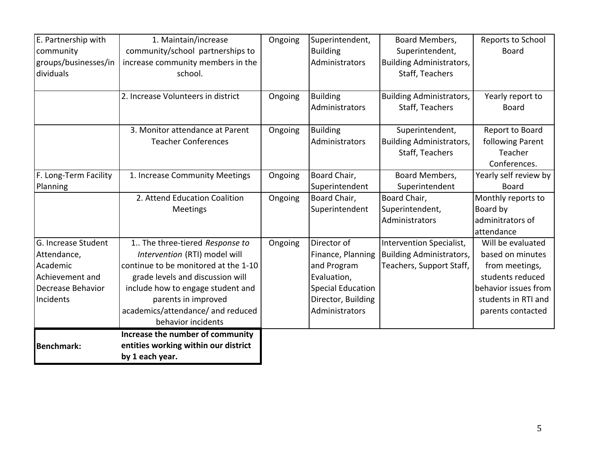| E. Partnership with   | 1. Maintain/increase                 | Ongoing | Superintendent,          | Board Members,                  | Reports to School     |
|-----------------------|--------------------------------------|---------|--------------------------|---------------------------------|-----------------------|
| community             | community/school partnerships to     |         | <b>Building</b>          | Superintendent,                 | <b>Board</b>          |
| groups/businesses/in  | increase community members in the    |         | Administrators           | <b>Building Administrators,</b> |                       |
| dividuals             | school.                              |         |                          | Staff, Teachers                 |                       |
|                       |                                      |         |                          |                                 |                       |
|                       | 2. Increase Volunteers in district   | Ongoing | <b>Building</b>          | <b>Building Administrators,</b> | Yearly report to      |
|                       |                                      |         | Administrators           | Staff, Teachers                 | <b>Board</b>          |
|                       |                                      |         |                          |                                 |                       |
|                       | 3. Monitor attendance at Parent      | Ongoing | <b>Building</b>          | Superintendent,                 | Report to Board       |
|                       | <b>Teacher Conferences</b>           |         | Administrators           | <b>Building Administrators,</b> | following Parent      |
|                       |                                      |         |                          | Staff, Teachers                 | Teacher               |
|                       |                                      |         |                          |                                 | Conferences.          |
| F. Long-Term Facility | 1. Increase Community Meetings       | Ongoing | Board Chair,             | Board Members,                  | Yearly self review by |
| Planning              |                                      |         | Superintendent           | Superintendent                  | Board                 |
|                       | 2. Attend Education Coalition        | Ongoing | Board Chair,             | Board Chair,                    | Monthly reports to    |
|                       | Meetings                             |         | Superintendent           | Superintendent,                 | Board by              |
|                       |                                      |         |                          | Administrators                  | adminitrators of      |
|                       |                                      |         |                          |                                 | attendance            |
| G. Increase Student   | 1 The three-tiered Response to       | Ongoing | Director of              | Intervention Specialist,        | Will be evaluated     |
| Attendance,           | Intervention (RTI) model will        |         | Finance, Planning        | <b>Building Administrators,</b> | based on minutes      |
| Academic              | continue to be monitored at the 1-10 |         | and Program              | Teachers, Support Staff,        | from meetings,        |
| Achievement and       | grade levels and discussion will     |         | Evaluation,              |                                 | students reduced      |
| Decrease Behavior     | include how to engage student and    |         | <b>Special Education</b> |                                 | behavior issues from  |
| Incidents             | parents in improved                  |         | Director, Building       |                                 | students in RTI and   |
|                       | academics/attendance/ and reduced    |         | Administrators           |                                 | parents contacted     |
|                       | behavior incidents                   |         |                          |                                 |                       |
|                       | Increase the number of community     |         |                          |                                 |                       |
| <b>Benchmark:</b>     | entities working within our district |         |                          |                                 |                       |
|                       | by 1 each year.                      |         |                          |                                 |                       |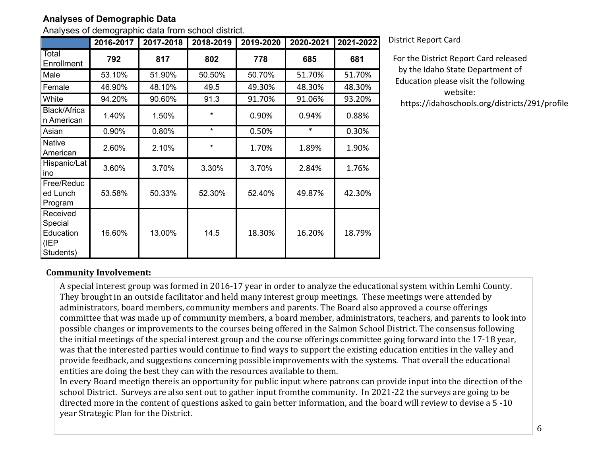## **Analyses of Demographic Data**

Analyses of demographic data from school district.

|                                                       | 2016-2017 | 2017-2018 | 2018-2019 | 2019-2020 | 2020-2021 | 2021-2022 |
|-------------------------------------------------------|-----------|-----------|-----------|-----------|-----------|-----------|
| Total<br>Enrollment                                   | 792       | 817       | 802       | 778       | 685       | 681       |
| Male                                                  | 53.10%    | 51.90%    | 50.50%    | 50.70%    | 51.70%    | 51.70%    |
| Female                                                | 46.90%    | 48.10%    | 49.5      | 49.30%    | 48.30%    | 48.30%    |
| White                                                 | 94.20%    | 90.60%    | 91.3      | 91.70%    | 91.06%    | 93.20%    |
| Black/Africa<br>n American                            | 1.40%     | 1.50%     | $\star$   | 0.90%     | 0.94%     | 0.88%     |
| Asian                                                 | 0.90%     | 0.80%     | $\star$   | 0.50%     | $\ast$    | 0.30%     |
| <b>Native</b><br>American                             | 2.60%     | 2.10%     | $\star$   | 1.70%     | 1.89%     | 1.90%     |
| Hispanic/Lat<br>ino                                   | 3.60%     | 3.70%     | 3.30%     | 3.70%     | 2.84%     | 1.76%     |
| Free/Reduc<br>ed Lunch<br>Program                     | 53.58%    | 50.33%    | 52.30%    | 52.40%    | 49.87%    | 42.30%    |
| Received<br>Special<br>Education<br>(IEP<br>Students) | 16.60%    | 13.00%    | 14.5      | 18.30%    | 16.20%    | 18.79%    |

District Report Card

For the District Report Card released by the Idaho State Department of Education please visit the following website: https://idahoschools.org/districts/291/profile

**Community Involvement:** 

A special interest group was formed in 2016-17 year in order to analyze the educational system within Lemhi County. They brought in an outside facilitator and held many interest group meetings. These meetings were attended by administrators, board members, community members and parents. The Board also approved a course offerings committee that was made up of community members, a board member, administrators, teachers, and parents to look into possible changes or improvements to the courses being offered in the Salmon School District. The consensus following the initial meetings of the special interest group and the course offerings committee going forward into the 17-18 year, was that the interested parties would continue to find ways to support the existing education entities in the valley and provide feedback, and suggestions concerning possible improvements with the systems. That overall the educational entities are doing the best they can with the resources available to them.

In every Board meetign thereis an opportunity for public input where patrons can provide input into the direction of the school District. Surveys are also sent out to gather input fromthe community. In 2021-22 the surveys are going to be directed more in the content of questions asked to gain better information, and the board will review to devise a  $5 - 10$ year Strategic Plan for the District.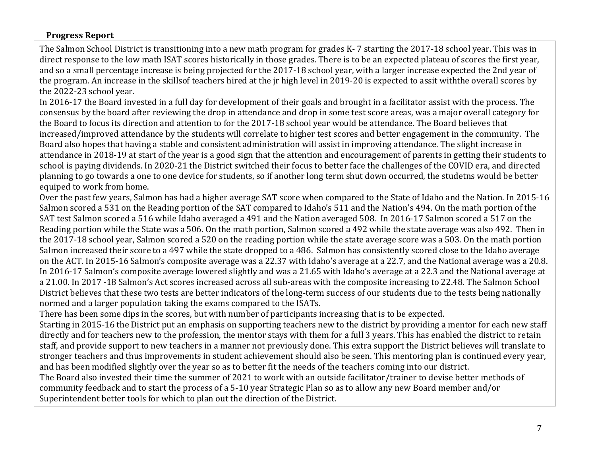### **Progress Report**

The Salmon School District is transitioning into a new math program for grades K-7 starting the 2017-18 school year. This was in direct response to the low math ISAT scores historically in those grades. There is to be an expected plateau of scores the first year, and so a small percentage increase is being projected for the 2017-18 school year, with a larger increase expected the 2nd year of the program. An increase in the skillsof teachers hired at the ir high level in 2019-20 is expected to assit withthe overall scores by the 2022-23 school year.

In 2016-17 the Board invested in a full day for development of their goals and brought in a facilitator assist with the process. The consensus by the board after reviewing the drop in attendance and drop in some test score areas, was a major overall category for the Board to focus its direction and attention to for the 2017-18 school year would be attendance. The Board believes that increased/improved attendance by the students will correlate to higher test scores and better engagement in the community. The Board also hopes that having a stable and consistent administration will assist in improving attendance. The slight increase in attendance in 2018-19 at start of the year is a good sign that the attention and encouragement of parents in getting their students to school is paying dividends. In 2020-21 the District switched their focus to better face the challenges of the COVID era, and directed planning to go towards a one to one device for students, so if another long term shut down occurred, the studetns would be better equiped to work from home.

Over the past few years, Salmon has had a higher average SAT score when compared to the State of Idaho and the Nation. In 2015-16 Salmon scored a 531 on the Reading portion of the SAT compared to Idaho's 511 and the Nation's 494. On the math portion of the SAT test Salmon scored a 516 while Idaho averaged a 491 and the Nation averaged 508. In 2016-17 Salmon scored a 517 on the Reading portion while the State was a 506. On the math portion, Salmon scored a 492 while the state average was also 492. Then in the 2017-18 school year, Salmon scored a 520 on the reading portion while the state average score was a 503. On the math portion Salmon increased their score to a 497 while the state dropped to a 486. Salmon has consistently scored close to the Idaho average on the ACT. In 2015-16 Salmon's composite average was a 22.37 with Idaho's average at a 22.7, and the National average was a 20.8. In 2016-17 Salmon's composite average lowered slightly and was a 21.65 with Idaho's average at a 22.3 and the National average at a 21.00. In 2017 -18 Salmon's Act scores increased across all sub-areas with the composite increasing to 22.48. The Salmon School District believes that these two tests are better indicators of the long-term success of our students due to the tests being nationally normed and a larger population taking the exams compared to the ISATs.

There has been some dips in the scores, but with number of participants increasing that is to be expected.

Starting in 2015-16 the District put an emphasis on supporting teachers new to the district by providing a mentor for each new staff directly and for teachers new to the profession, the mentor stays with them for a full 3 years. This has enabled the district to retain staff, and provide support to new teachers in a manner not previously done. This extra support the District believes will translate to stronger teachers and thus improvements in student achievement should also be seen. This mentoring plan is continued every year, and has been modified slightly over the year so as to better fit the needs of the teachers coming into our district.

The Board also invested their time the summer of 2021 to work with an outside facilitator/trainer to devise better methods of community feedback and to start the process of a 5-10 year Strategic Plan so as to allow any new Board member and/or Superintendent better tools for which to plan out the direction of the District.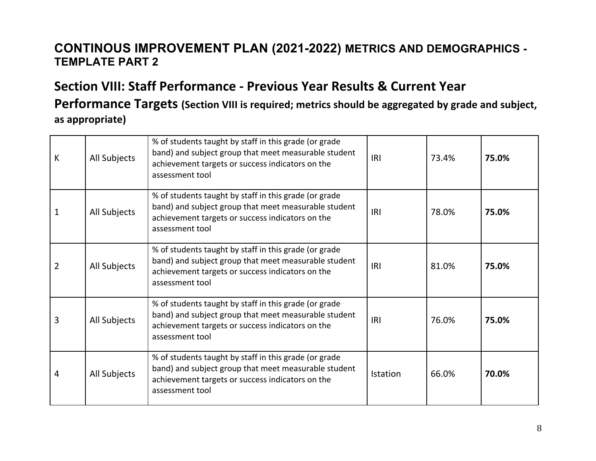# **CONTINOUS IMPROVEMENT PLAN (2021-2022) METRICS AND DEMOGRAPHICS - TEMPLATE PART 2**

# **Section VIII: Staff Performance - Previous Year Results & Current Year** Performance Targets (Section VIII is required; metrics should be aggregated by grade and subject, as appropriate)

| К              | All Subjects | % of students taught by staff in this grade (or grade<br>band) and subject group that meet measurable student<br>achievement targets or success indicators on the<br>assessment tool | IRI             | 73.4% | 75.0% |
|----------------|--------------|--------------------------------------------------------------------------------------------------------------------------------------------------------------------------------------|-----------------|-------|-------|
|                | All Subjects | % of students taught by staff in this grade (or grade<br>band) and subject group that meet measurable student<br>achievement targets or success indicators on the<br>assessment tool | IRI             | 78.0% | 75.0% |
| $\overline{2}$ | All Subjects | % of students taught by staff in this grade (or grade<br>band) and subject group that meet measurable student<br>achievement targets or success indicators on the<br>assessment tool | IRI             | 81.0% | 75.0% |
| 3              | All Subjects | % of students taught by staff in this grade (or grade<br>band) and subject group that meet measurable student<br>achievement targets or success indicators on the<br>assessment tool | IRI             | 76.0% | 75.0% |
| 4              | All Subjects | % of students taught by staff in this grade (or grade<br>band) and subject group that meet measurable student<br>achievement targets or success indicators on the<br>assessment tool | <b>Istation</b> | 66.0% | 70.0% |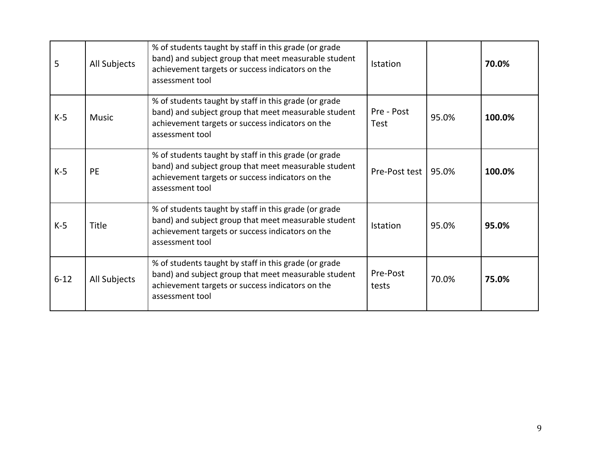| 5        | All Subjects | % of students taught by staff in this grade (or grade<br>band) and subject group that meet measurable student<br>achievement targets or success indicators on the<br>assessment tool | Istation                  |       | 70.0%  |
|----------|--------------|--------------------------------------------------------------------------------------------------------------------------------------------------------------------------------------|---------------------------|-------|--------|
| $K-5$    | <b>Music</b> | % of students taught by staff in this grade (or grade<br>band) and subject group that meet measurable student<br>achievement targets or success indicators on the<br>assessment tool | Pre - Post<br><b>Test</b> | 95.0% | 100.0% |
| $K-5$    | <b>PE</b>    | % of students taught by staff in this grade (or grade<br>band) and subject group that meet measurable student<br>achievement targets or success indicators on the<br>assessment tool | Pre-Post test 195.0%      |       | 100.0% |
| $K-5$    | <b>Title</b> | % of students taught by staff in this grade (or grade<br>band) and subject group that meet measurable student<br>achievement targets or success indicators on the<br>assessment tool | Istation                  | 95.0% | 95.0%  |
| $6 - 12$ | All Subjects | % of students taught by staff in this grade (or grade<br>band) and subject group that meet measurable student<br>achievement targets or success indicators on the<br>assessment tool | Pre-Post<br>tests         | 70.0% | 75.0%  |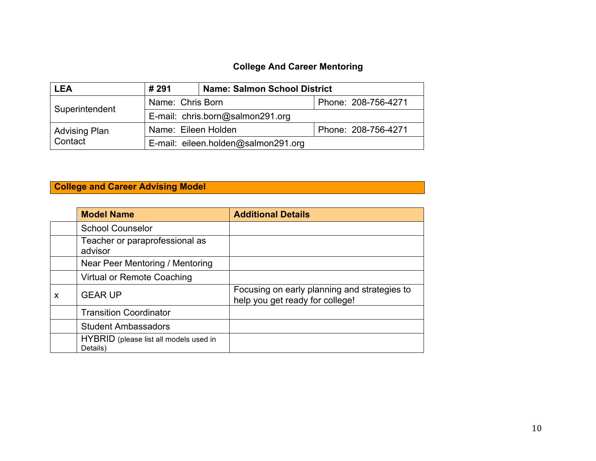# **College And Career Mentoring**

| <b>LEA</b>                                  | <b>Name: Salmon School District</b><br>#291 |                                     |  |  |  |
|---------------------------------------------|---------------------------------------------|-------------------------------------|--|--|--|
| Name: Chris Born<br>Superintendent          |                                             | Phone: 208-756-4271                 |  |  |  |
|                                             | E-mail: chris.born@salmon291.org            |                                     |  |  |  |
| Name: Eileen Holden<br><b>Advising Plan</b> |                                             | Phone: 208-756-4271                 |  |  |  |
| Contact                                     |                                             | E-mail: eileen.holden@salmon291.org |  |  |  |

# **College and Career Advising Model**

|   | <b>Model Name</b>                                  | <b>Additional Details</b>                                                       |
|---|----------------------------------------------------|---------------------------------------------------------------------------------|
|   | <b>School Counselor</b>                            |                                                                                 |
|   | Teacher or paraprofessional as<br>advisor          |                                                                                 |
|   | Near Peer Mentoring / Mentoring                    |                                                                                 |
|   | Virtual or Remote Coaching                         |                                                                                 |
| X | <b>GEAR UP</b>                                     | Focusing on early planning and strategies to<br>help you get ready for college! |
|   | <b>Transition Coordinator</b>                      |                                                                                 |
|   | <b>Student Ambassadors</b>                         |                                                                                 |
|   | HYBRID (please list all models used in<br>Details) |                                                                                 |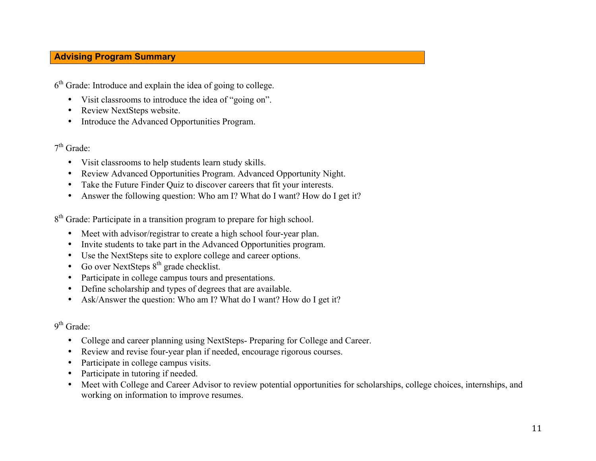## **Advising Program Summary**

 $6<sup>th</sup>$  Grade: Introduce and explain the idea of going to college.

- Visit classrooms to introduce the idea of "going on".
- Review NextSteps website.
- Introduce the Advanced Opportunities Program.

### $7<sup>th</sup>$  Grade:

- Visit classrooms to help students learn study skills.
- Review Advanced Opportunities Program. Advanced Opportunity Night.
- Take the Future Finder Quiz to discover careers that fit your interests.
- Answer the following question: Who am I? What do I want? How do I get it?

8<sup>th</sup> Grade: Participate in a transition program to prepare for high school.

- Meet with advisor/registrar to create a high school four-year plan.
- Invite students to take part in the Advanced Opportunities program.
- Use the NextSteps site to explore college and career options.
- Go over NextSteps  $8<sup>th</sup>$  grade checklist.
- Participate in college campus tours and presentations.
- Define scholarship and types of degrees that are available.
- Ask/Answer the question: Who am I? What do I want? How do I get it?

# 9<sup>th</sup> Grade:

- College and career planning using NextSteps- Preparing for College and Career.
- Review and revise four-year plan if needed, encourage rigorous courses.
- Participate in college campus visits.
- Participate in tutoring if needed.
- Meet with College and Career Advisor to review potential opportunities for scholarships, college choices, internships, and working on information to improve resumes.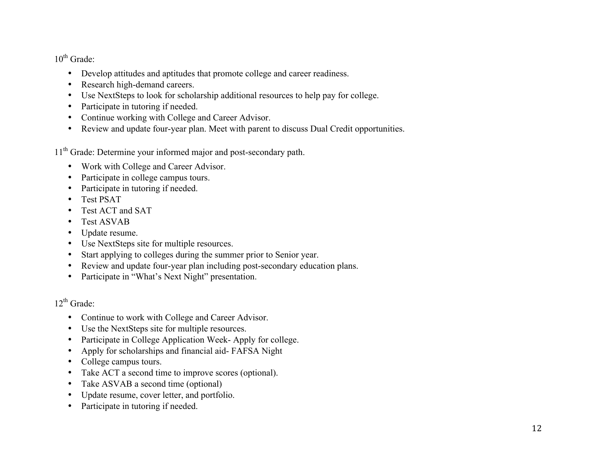$10^{th}$  Grade:

- Develop attitudes and aptitudes that promote college and career readiness.
- Research high-demand careers.
- Use NextSteps to look for scholarship additional resources to help pay for college.
- Participate in tutoring if needed.
- Continue working with College and Career Advisor.
- Review and update four-year plan. Meet with parent to discuss Dual Credit opportunities.

11<sup>th</sup> Grade: Determine your informed major and post-secondary path.

- Work with College and Career Advisor.
- Participate in college campus tours.
- Participate in tutoring if needed.
- Test PSAT
- Test ACT and SAT
- Test ASVAB
- Update resume.
- Use NextSteps site for multiple resources.
- Start applying to colleges during the summer prior to Senior year.
- Review and update four-year plan including post-secondary education plans.
- Participate in "What's Next Night" presentation.

 $12^{th}$  Grade:

- Continue to work with College and Career Advisor.
- Use the NextSteps site for multiple resources.
- Participate in College Application Week- Apply for college.
- Apply for scholarships and financial aid- FAFSA Night
- College campus tours.
- Take ACT a second time to improve scores (optional).
- Take ASVAB a second time (optional)
- Update resume, cover letter, and portfolio.
- Participate in tutoring if needed.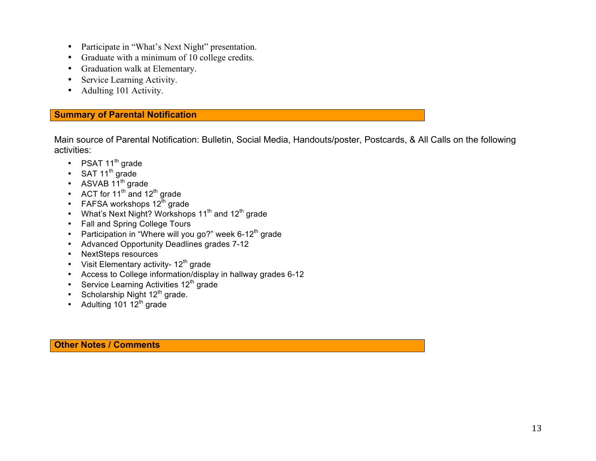- Participate in "What's Next Night" presentation.
- Graduate with a minimum of 10 college credits.
- Graduation walk at Elementary.
- Service Learning Activity.
- Adulting 101 Activity.

### **Summary of Parental Notification**

Main source of Parental Notification: Bulletin, Social Media, Handouts/poster, Postcards, & All Calls on the following activities:

- PSAT  $11^{th}$  grade
- SAT 11<sup>th</sup> grade
- ASVAB  $11^{th}$  grade
- ACT for  $11<sup>th</sup>$  and  $12<sup>th</sup>$  grade
- FAFSA workshops  $12^{\text{th}}$  grade
- What's Next Night? Workshops  $11^{th}$  and  $12^{th}$  grade
- Fall and Spring College Tours
- Participation in "Where will you go?" week 6-12<sup>th</sup> grade
- Advanced Opportunity Deadlines grades 7-12
- NextSteps resources
- Visit Elementary activity-  $12<sup>th</sup>$  grade
- Access to College information/display in hallway grades 6-12
- Service Learning Activities  $12<sup>th</sup>$  grade
- Scholarship Night  $12<sup>th</sup>$  grade.
- Adulting 101  $12^{th}$  grade

**Other Notes / Comments**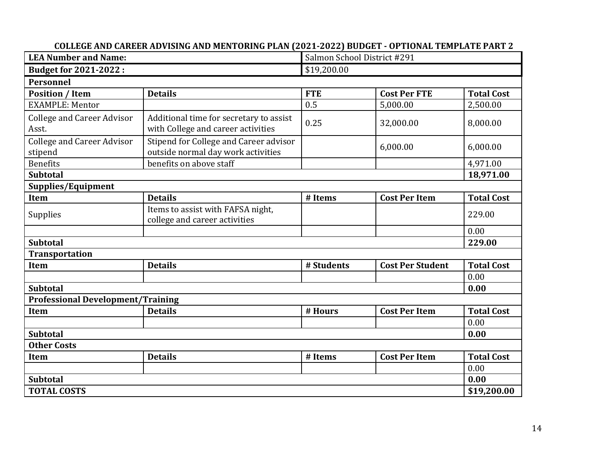| <b>LEA Number and Name:</b>                  | Salmon School District #291                                                   |             |                         |                   |
|----------------------------------------------|-------------------------------------------------------------------------------|-------------|-------------------------|-------------------|
| <b>Budget for 2021-2022:</b>                 |                                                                               | \$19,200.00 |                         |                   |
| <b>Personnel</b>                             |                                                                               |             |                         |                   |
| <b>Position / Item</b>                       | <b>Details</b>                                                                | <b>FTE</b>  | <b>Cost Per FTE</b>     | <b>Total Cost</b> |
| <b>EXAMPLE: Mentor</b>                       |                                                                               | 0.5         | 5,000.00                | 2,500.00          |
| <b>College and Career Advisor</b><br>Asst.   | Additional time for secretary to assist<br>with College and career activities | 0.25        | 32,000.00               | 8,000.00          |
| <b>College and Career Advisor</b><br>stipend | Stipend for College and Career advisor<br>outside normal day work activities  |             | 6,000.00                | 6,000.00          |
| <b>Benefits</b>                              | benefits on above staff                                                       |             |                         | 4,971.00          |
| <b>Subtotal</b>                              |                                                                               |             |                         | 18,971.00         |
| Supplies/Equipment                           |                                                                               |             |                         |                   |
| Item                                         | <b>Details</b>                                                                | # Items     | <b>Cost Per Item</b>    | <b>Total Cost</b> |
| Supplies                                     | Items to assist with FAFSA night,<br>college and career activities            |             |                         | 229.00            |
|                                              |                                                                               |             |                         | 0.00              |
| <b>Subtotal</b>                              |                                                                               |             |                         | 229.00            |
| <b>Transportation</b>                        |                                                                               |             |                         |                   |
| Item                                         | <b>Details</b>                                                                | # Students  | <b>Cost Per Student</b> | <b>Total Cost</b> |
|                                              |                                                                               |             |                         | 0.00              |
| <b>Subtotal</b>                              |                                                                               |             |                         | 0.00              |
| <b>Professional Development/Training</b>     |                                                                               |             |                         |                   |
| <b>Item</b>                                  | <b>Details</b>                                                                | # Hours     | <b>Cost Per Item</b>    | <b>Total Cost</b> |
|                                              |                                                                               |             |                         | 0.00              |
| <b>Subtotal</b>                              |                                                                               |             |                         | 0.00              |
| <b>Other Costs</b>                           |                                                                               |             |                         |                   |
| Item                                         | <b>Details</b>                                                                | # Items     | <b>Cost Per Item</b>    | <b>Total Cost</b> |
|                                              |                                                                               |             |                         | 0.00              |
| <b>Subtotal</b>                              |                                                                               |             |                         |                   |
| <b>TOTAL COSTS</b>                           |                                                                               |             |                         | \$19,200.00       |

#### COLLEGE AND CAREER ADVISING AND MENTORING PLAN (2021-2022) BUDGET - OPTIONAL TEMPLATE PART 2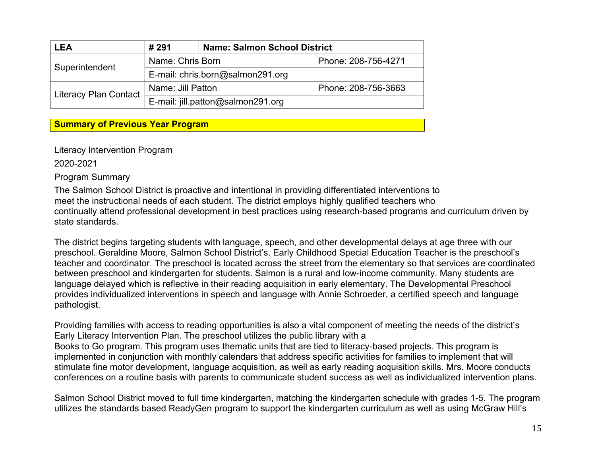| <b>LEA</b>                         | # 291                            | <b>Name: Salmon School District</b> |                     |  |
|------------------------------------|----------------------------------|-------------------------------------|---------------------|--|
| Name: Chris Born<br>Superintendent |                                  |                                     | Phone: 208-756-4271 |  |
|                                    | E-mail: chris.born@salmon291.org |                                     |                     |  |
| <b>Literacy Plan Contact</b>       | Name: Jill Patton                | Phone: 208-756-3663                 |                     |  |
|                                    |                                  | E-mail: jill.patton@salmon291.org   |                     |  |

## **Summary of Previous Year Program**

Literacy Intervention Program

2020-2021

Program Summary

The Salmon School District is proactive and intentional in providing differentiated interventions to meet the instructional needs of each student. The district employs highly qualified teachers who continually attend professional development in best practices using research-based programs and curriculum driven by state standards.

The district begins targeting students with language, speech, and other developmental delays at age three with our preschool. Geraldine Moore, Salmon School District's. Early Childhood Special Education Teacher is the preschool's teacher and coordinator. The preschool is located across the street from the elementary so that services are coordinated between preschool and kindergarten for students. Salmon is a rural and low-income community. Many students are language delayed which is reflective in their reading acquisition in early elementary. The Developmental Preschool provides individualized interventions in speech and language with Annie Schroeder, a certified speech and language pathologist.

Providing families with access to reading opportunities is also a vital component of meeting the needs of the district's Early Literacy Intervention Plan. The preschool utilizes the public library with a Books to Go program. This program uses thematic units that are tied to literacy-based projects. This program is implemented in conjunction with monthly calendars that address specific activities for families to implement that will stimulate fine motor development, language acquisition, as well as early reading acquisition skills. Mrs. Moore conducts conferences on a routine basis with parents to communicate student success as well as individualized intervention plans.

Salmon School District moved to full time kindergarten, matching the kindergarten schedule with grades 1-5. The program utilizes the standards based ReadyGen program to support the kindergarten curriculum as well as using McGraw Hill's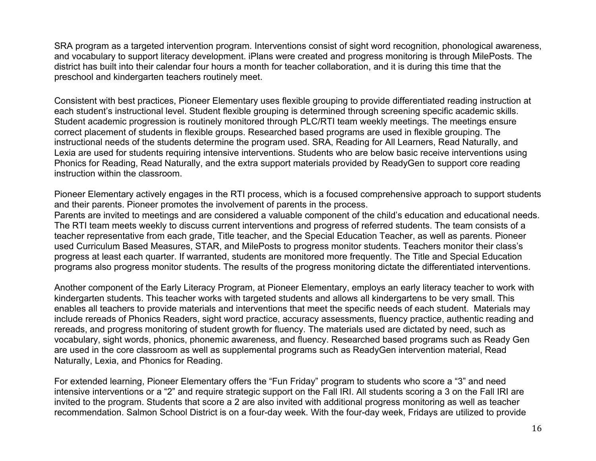SRA program as a targeted intervention program. Interventions consist of sight word recognition, phonological awareness, and vocabulary to support literacy development. iPlans were created and progress monitoring is through MilePosts. The district has built into their calendar four hours a month for teacher collaboration, and it is during this time that the preschool and kindergarten teachers routinely meet.

Consistent with best practices, Pioneer Elementary uses flexible grouping to provide differentiated reading instruction at each student's instructional level. Student flexible grouping is determined through screening specific academic skills. Student academic progression is routinely monitored through PLC/RTI team weekly meetings. The meetings ensure correct placement of students in flexible groups. Researched based programs are used in flexible grouping. The instructional needs of the students determine the program used. SRA, Reading for All Learners, Read Naturally, and Lexia are used for students requiring intensive interventions. Students who are below basic receive interventions using Phonics for Reading, Read Naturally, and the extra support materials provided by ReadyGen to support core reading instruction within the classroom.

Pioneer Elementary actively engages in the RTI process, which is a focused comprehensive approach to support students and their parents. Pioneer promotes the involvement of parents in the process.

Parents are invited to meetings and are considered a valuable component of the child's education and educational needs. The RTI team meets weekly to discuss current interventions and progress of referred students. The team consists of a teacher representative from each grade, Title teacher, and the Special Education Teacher, as well as parents. Pioneer used Curriculum Based Measures, STAR, and MilePosts to progress monitor students. Teachers monitor their class's progress at least each quarter. If warranted, students are monitored more frequently. The Title and Special Education programs also progress monitor students. The results of the progress monitoring dictate the differentiated interventions.

Another component of the Early Literacy Program, at Pioneer Elementary, employs an early literacy teacher to work with kindergarten students. This teacher works with targeted students and allows all kindergartens to be very small. This enables all teachers to provide materials and interventions that meet the specific needs of each student. Materials may include rereads of Phonics Readers, sight word practice, accuracy assessments, fluency practice, authentic reading and rereads, and progress monitoring of student growth for fluency. The materials used are dictated by need, such as vocabulary, sight words, phonics, phonemic awareness, and fluency. Researched based programs such as Ready Gen are used in the core classroom as well as supplemental programs such as ReadyGen intervention material, Read Naturally, Lexia, and Phonics for Reading.

For extended learning, Pioneer Elementary offers the "Fun Friday" program to students who score a "3" and need intensive interventions or a "2" and require strategic support on the Fall IRI. All students scoring a 3 on the Fall IRI are invited to the program. Students that score a 2 are also invited with additional progress monitoring as well as teacher recommendation. Salmon School District is on a four-day week. With the four-day week, Fridays are utilized to provide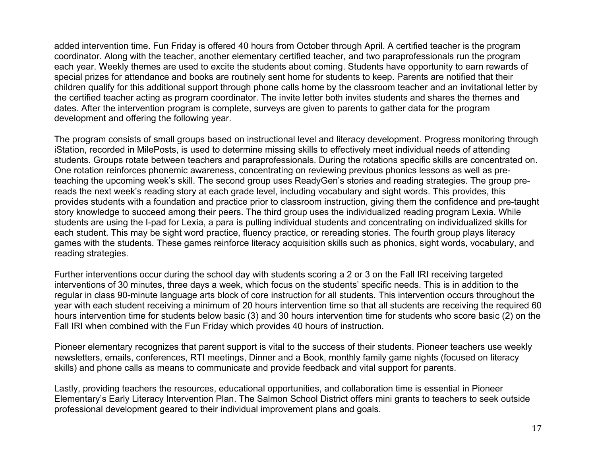added intervention time. Fun Friday is offered 40 hours from October through April. A certified teacher is the program coordinator. Along with the teacher, another elementary certified teacher, and two paraprofessionals run the program each year. Weekly themes are used to excite the students about coming. Students have opportunity to earn rewards of special prizes for attendance and books are routinely sent home for students to keep. Parents are notified that their children qualify for this additional support through phone calls home by the classroom teacher and an invitational letter by the certified teacher acting as program coordinator. The invite letter both invites students and shares the themes and dates. After the intervention program is complete, surveys are given to parents to gather data for the program development and offering the following year.

The program consists of small groups based on instructional level and literacy development. Progress monitoring through iStation, recorded in MilePosts, is used to determine missing skills to effectively meet individual needs of attending students. Groups rotate between teachers and paraprofessionals. During the rotations specific skills are concentrated on. One rotation reinforces phonemic awareness, concentrating on reviewing previous phonics lessons as well as preteaching the upcoming week's skill. The second group uses ReadyGen's stories and reading strategies. The group prereads the next week's reading story at each grade level, including vocabulary and sight words. This provides, this provides students with a foundation and practice prior to classroom instruction, giving them the confidence and pre-taught story knowledge to succeed among their peers. The third group uses the individualized reading program Lexia. While students are using the I-pad for Lexia, a para is pulling individual students and concentrating on individualized skills for each student. This may be sight word practice, fluency practice, or rereading stories. The fourth group plays literacy games with the students. These games reinforce literacy acquisition skills such as phonics, sight words, vocabulary, and reading strategies.

Further interventions occur during the school day with students scoring a 2 or 3 on the Fall IRI receiving targeted interventions of 30 minutes, three days a week, which focus on the students' specific needs. This is in addition to the regular in class 90-minute language arts block of core instruction for all students. This intervention occurs throughout the year with each student receiving a minimum of 20 hours intervention time so that all students are receiving the required 60 hours intervention time for students below basic (3) and 30 hours intervention time for students who score basic (2) on the Fall IRI when combined with the Fun Friday which provides 40 hours of instruction.

Pioneer elementary recognizes that parent support is vital to the success of their students. Pioneer teachers use weekly newsletters, emails, conferences, RTI meetings, Dinner and a Book, monthly family game nights (focused on literacy skills) and phone calls as means to communicate and provide feedback and vital support for parents.

Lastly, providing teachers the resources, educational opportunities, and collaboration time is essential in Pioneer Elementary's Early Literacy Intervention Plan. The Salmon School District offers mini grants to teachers to seek outside professional development geared to their individual improvement plans and goals.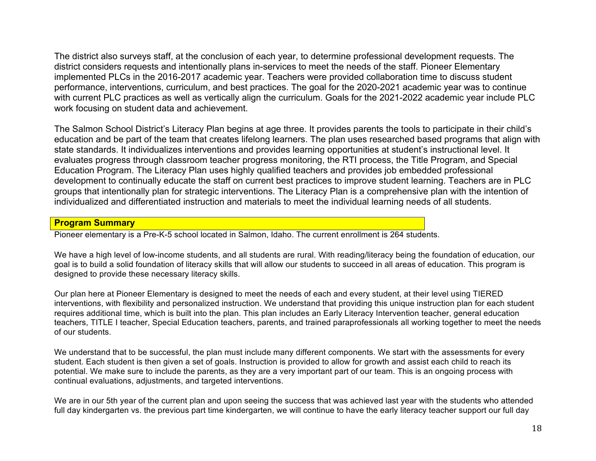The district also surveys staff, at the conclusion of each year, to determine professional development requests. The district considers requests and intentionally plans in-services to meet the needs of the staff. Pioneer Elementary implemented PLCs in the 2016-2017 academic year. Teachers were provided collaboration time to discuss student performance, interventions, curriculum, and best practices. The goal for the 2020-2021 academic year was to continue with current PLC practices as well as vertically align the curriculum. Goals for the 2021-2022 academic year include PLC work focusing on student data and achievement.

The Salmon School District's Literacy Plan begins at age three. It provides parents the tools to participate in their child's education and be part of the team that creates lifelong learners. The plan uses researched based programs that align with state standards. It individualizes interventions and provides learning opportunities at student's instructional level. It evaluates progress through classroom teacher progress monitoring, the RTI process, the Title Program, and Special Education Program. The Literacy Plan uses highly qualified teachers and provides job embedded professional development to continually educate the staff on current best practices to improve student learning. Teachers are in PLC groups that intentionally plan for strategic interventions. The Literacy Plan is a comprehensive plan with the intention of individualized and differentiated instruction and materials to meet the individual learning needs of all students.

#### **Program Summary**

Pioneer elementary is a Pre-K-5 school located in Salmon, Idaho. The current enrollment is 264 students.

We have a high level of low-income students, and all students are rural. With reading/literacy being the foundation of education, our goal is to build a solid foundation of literacy skills that will allow our students to succeed in all areas of education. This program is designed to provide these necessary literacy skills.

Our plan here at Pioneer Elementary is designed to meet the needs of each and every student, at their level using TIERED interventions, with flexibility and personalized instruction. We understand that providing this unique instruction plan for each student requires additional time, which is built into the plan. This plan includes an Early Literacy Intervention teacher, general education teachers, TITLE I teacher, Special Education teachers, parents, and trained paraprofessionals all working together to meet the needs of our students.

We understand that to be successful, the plan must include many different components. We start with the assessments for every student. Each student is then given a set of goals. Instruction is provided to allow for growth and assist each child to reach its potential. We make sure to include the parents, as they are a very important part of our team. This is an ongoing process with continual evaluations, adjustments, and targeted interventions.

We are in our 5th year of the current plan and upon seeing the success that was achieved last year with the students who attended full day kindergarten vs. the previous part time kindergarten, we will continue to have the early literacy teacher support our full day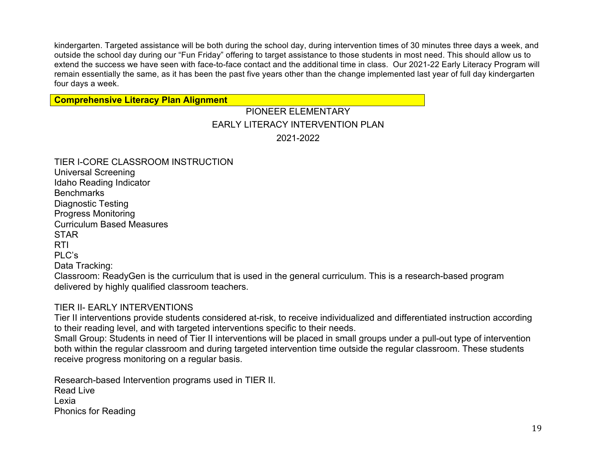kindergarten. Targeted assistance will be both during the school day, during intervention times of 30 minutes three days a week, and outside the school day during our "Fun Friday" offering to target assistance to those students in most need. This should allow us to extend the success we have seen with face-to-face contact and the additional time in class. Our 2021-22 Early Literacy Program will remain essentially the same, as it has been the past five years other than the change implemented last year of full day kindergarten four days a week.

#### **Comprehensive Literacy Plan Alignment**

# PIONEER ELEMENTARY EARLY LITERACY INTERVENTION PLAN 2021-2022

| TIER I-CORE CLASSROOM INSTRUCTION<br><b>Universal Screening</b>                                                                                                     |
|---------------------------------------------------------------------------------------------------------------------------------------------------------------------|
| Idaho Reading Indicator                                                                                                                                             |
| <b>Benchmarks</b>                                                                                                                                                   |
| Diagnostic Testing                                                                                                                                                  |
| <b>Progress Monitoring</b>                                                                                                                                          |
| <b>Curriculum Based Measures</b>                                                                                                                                    |
| <b>STAR</b>                                                                                                                                                         |
| <b>RTI</b>                                                                                                                                                          |
| PLC's                                                                                                                                                               |
| Data Tracking:                                                                                                                                                      |
| Classroom: ReadyGen is the curriculum that is used in the general curriculum. This is a research-based program<br>delivered by highly qualified classroom teachers. |

#### TIER II- EARLY INTERVENTIONS

Tier II interventions provide students considered at-risk, to receive individualized and differentiated instruction according to their reading level, and with targeted interventions specific to their needs.

Small Group: Students in need of Tier II interventions will be placed in small groups under a pull-out type of intervention both within the regular classroom and during targeted intervention time outside the regular classroom. These students receive progress monitoring on a regular basis.

Research-based Intervention programs used in TIER II. Read Live Lexia Phonics for Reading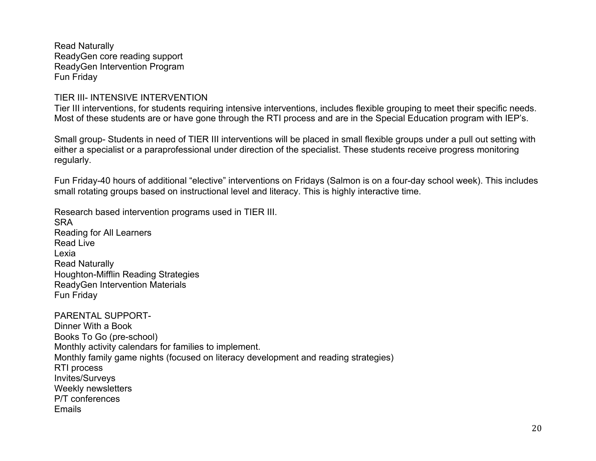Read Naturally ReadyGen core reading support ReadyGen Intervention Program Fun Friday

#### TIER III- INTENSIVE INTERVENTION

Tier III interventions, for students requiring intensive interventions, includes flexible grouping to meet their specific needs. Most of these students are or have gone through the RTI process and are in the Special Education program with IEP's.

Small group- Students in need of TIER III interventions will be placed in small flexible groups under a pull out setting with either a specialist or a paraprofessional under direction of the specialist. These students receive progress monitoring regularly.

Fun Friday-40 hours of additional "elective" interventions on Fridays (Salmon is on a four-day school week). This includes small rotating groups based on instructional level and literacy. This is highly interactive time.

Research based intervention programs used in TIER III. SRA Reading for All Learners Read Live Lexia Read Naturally Houghton-Mifflin Reading Strategies ReadyGen Intervention Materials Fun Friday

PARENTAL SUPPORT-Dinner With a Book Books To Go (pre-school) Monthly activity calendars for families to implement. Monthly family game nights (focused on literacy development and reading strategies) RTI process Invites/Surveys Weekly newsletters P/T conferences Emails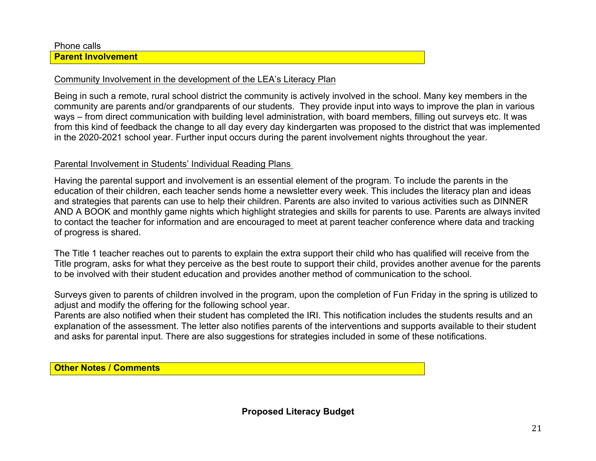Phone calls

#### **Parent Involvement**

### Community Involvement in the development of the LEA's Literacy Plan

Being in such a remote, rural school district the community is actively involved in the school. Many key members in the community are parents and/or grandparents of our students. They provide input into ways to improve the plan in various ways – from direct communication with building level administration, with board members, filling out surveys etc. It was from this kind of feedback the change to all day every day kindergarten was proposed to the district that was implemented in the 2020-2021 school year. Further input occurs during the parent involvement nights throughout the year.

## Parental Involvement in Students' Individual Reading Plans

Having the parental support and involvement is an essential element of the program. To include the parents in the education of their children, each teacher sends home a newsletter every week. This includes the literacy plan and ideas and strategies that parents can use to help their children. Parents are also invited to various activities such as DINNER AND A BOOK and monthly game nights which highlight strategies and skills for parents to use. Parents are always invited to contact the teacher for information and are encouraged to meet at parent teacher conference where data and tracking of progress is shared.

The Title 1 teacher reaches out to parents to explain the extra support their child who has qualified will receive from the Title program, asks for what they perceive as the best route to support their child, provides another avenue for the parents to be involved with their student education and provides another method of communication to the school.

Surveys given to parents of children involved in the program, upon the completion of Fun Friday in the spring is utilized to adjust and modify the offering for the following school year.

Parents are also notified when their student has completed the IRI. This notification includes the students results and an explanation of the assessment. The letter also notifies parents of the interventions and supports available to their student and asks for parental input. There are also suggestions for strategies included in some of these notifications.

**Other Notes / Comments**

**Proposed Literacy Budget**